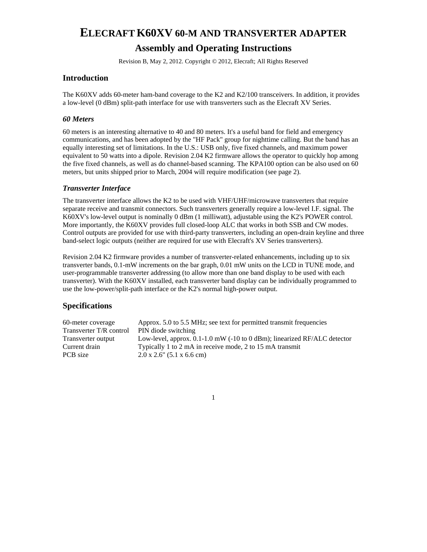# **ELECRAFT K60XV 60-M AND TRANSVERTER ADAPTER Assembly and Operating Instructions**

Revision B, May 2, 2012. Copyright © 2012, Elecraft; All Rights Reserved

### **Introduction**

The K60XV adds 60-meter ham-band coverage to the K2 and K2/100 transceivers. In addition, it provides a low-level (0 dBm) split-path interface for use with transverters such as the Elecraft XV Series.

#### *60 Meters*

60 meters is an interesting alternative to 40 and 80 meters. It's a useful band for field and emergency communications, and has been adopted by the "HF Pack" group for nighttime calling. But the band has an equally interesting set of limitations. In the U.S.: USB only, five fixed channels, and maximum power equivalent to 50 watts into a dipole. Revision 2.04 K2 firmware allows the operator to quickly hop among the five fixed channels, as well as do channel-based scanning. The KPA100 option can be also used on 60 meters, but units shipped prior to March, 2004 will require modification (see page 2).

### *Transverter Interface*

The transverter interface allows the K2 to be used with VHF/UHF/microwave transverters that require separate receive and transmit connectors. Such transverters generally require a low-level I.F. signal. The K60XV's low-level output is nominally 0 dBm (1 milliwatt), adjustable using the K2's POWER control. More importantly, the K60XV provides full closed-loop ALC that works in both SSB and CW modes. Control outputs are provided for use with third-party transverters, including an open-drain keyline and three band-select logic outputs (neither are required for use with Elecraft's XV Series transverters).

Revision 2.04 K2 firmware provides a number of transverter-related enhancements, including up to six transverter bands, 0.1-mW increments on the bar graph, 0.01 mW units on the LCD in TUNE mode, and user-programmable transverter addressing (to allow more than one band display to be used with each transverter). With the K60XV installed, each transverter band display can be individually programmed to use the low-power/split-path interface or the K2's normal high-power output.

### **Specifications**

| 60-meter coverage       | Approx. 5.0 to 5.5 MHz; see text for permitted transmit frequencies                            |
|-------------------------|------------------------------------------------------------------------------------------------|
| Transverter T/R control | PIN diode switching                                                                            |
| Transverter output      | Low-level, approx. $0.1-1.0$ mW $(-10 \text{ to } 0 \text{ dBm})$ ; linearized RF/ALC detector |
| Current drain           | Typically 1 to 2 mA in receive mode, 2 to 15 mA transmit                                       |
| PCB size                | $2.0 \times 2.6$ " (5.1 x 6.6 cm)                                                              |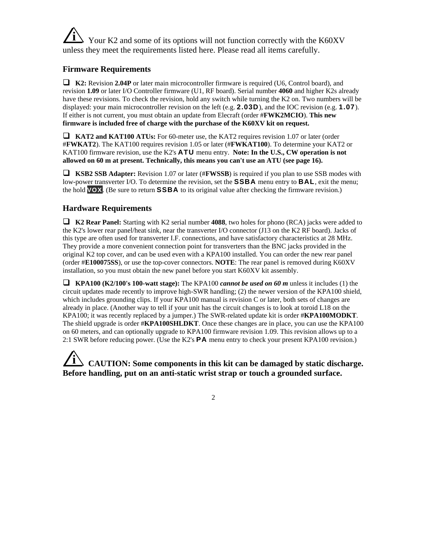**i** Your K2 and some of its options will not function correctly with the K60XV unless they meet the requirements listed here. Please read all items carefully.

### **Firmware Requirements**

 **K2:** Revision **2.04P** or later main microcontroller firmware is required (U6, Control board), and revision **1.09** or later I/O Controller firmware (U1, RF board). Serial number **4060** and higher K2s already have these revisions. To check the revision, hold any switch while turning the K2 on. Two numbers will be displayed: your main microcontroller revision on the left (e.g. **2.03D**), and the IOC revision (e.g. **1.07**). If either is not current, you must obtain an update from Elecraft (order #**FWK2MCIO**). **This new firmware is included free of charge with the purchase of the K60XV kit on request.**

 **KAT2 and KAT100 ATUs:** For 60-meter use, the KAT2 requires revision 1.07 or later (order #**FWKAT2**). The KAT100 requires revision 1.05 or later (#**FWKAT100**). To determine your KAT2 or KAT100 firmware revision, use the K2's **ATU** menu entry. **Note: In the U.S., CW operation is not allowed on 60 m at present. Technically, this means you can't use an ATU (see page 16).**

 **KSB2 SSB Adapter:** Revision 1.07 or later (#**FWSSB**) is required if you plan to use SSB modes with low-power transverter I/O. To determine the revision, set the **SSBA** menu entry to **BAL**, exit the menu; the hold **VOX**. (Be sure to return **SSBA** to its original value after checking the firmware revision.)

### **Hardware Requirements**

 **K2 Rear Panel:** Starting with K2 serial number **4088**, two holes for phono (RCA) jacks were added to the K2's lower rear panel/heat sink, near the transverter I/O connector (J13 on the K2 RF board). Jacks of this type are often used for transverter I.F. connections, and have satisfactory characteristics at 28 MHz. They provide a more convenient connection point for transverters than the BNC jacks provided in the original K2 top cover, and can be used even with a KPA100 installed. You can order the new rear panel (order #**E100075SS**), or use the top-cover connectors. **NOTE**: The rear panel is removed during K60XV installation, so you must obtain the new panel before you start K60XV kit assembly.

 **KPA100 (K2/100's 100-watt stage):** The KPA100 *cannot be used on 60 m* unless it includes (1) the circuit updates made recently to improve high-SWR handling; (2) the newer version of the KPA100 shield, which includes grounding clips. If your KPA100 manual is revision C or later, both sets of changes are already in place. (Another way to tell if your unit has the circuit changes is to look at toroid L18 on the KPA100; it was recently replaced by a jumper.) The SWR-related update kit is order #**KPA100MODKT**. The shield upgrade is order #**KPA100SHLDKT**. Once these changes are in place, you can use the KPA100 on 60 meters, and can optionally upgrade to KPA100 firmware revision 1.09. This revision allows up to a 2:1 SWR before reducing power. (Use the K2's **PA** menu entry to check your present KPA100 revision.)

# **i CAUTION: Some components in this kit can be damaged by static discharge. Before handling, put on an anti-static wrist strap or touch a grounded surface.**

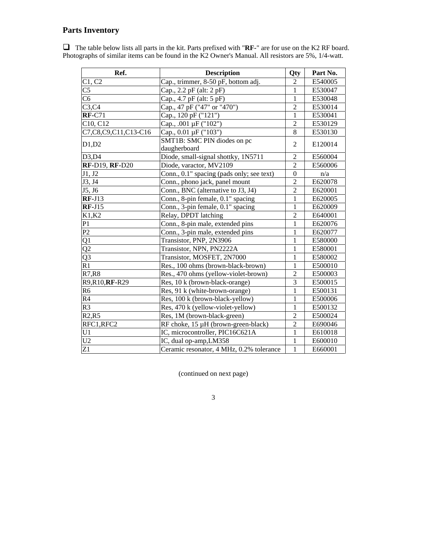## **Parts Inventory**

 The table below lists all parts in the kit. Parts prefixed with "**RF-**" are for use on the K2 RF board. Photographs of similar items can be found in the K2 Owner's Manual. All resistors are 5%, 1/4-watt.

| Ref.                   | <b>Description</b>                        | Qty            | Part No. |
|------------------------|-------------------------------------------|----------------|----------|
| C1, C2                 | Cap., trimmer, 8-50 pF, bottom adj.       | $\overline{2}$ | E540005  |
| C5                     | Cap., 2.2 pF (alt: 2 pF)                  | $\mathbf{1}$   | E530047  |
| $\overline{\text{C6}}$ | Cap., 4.7 pF (alt: 5 pF)                  | 1              | E530048  |
| C3,C4                  | Cap., 47 pF ("47" or "470")               | $\overline{2}$ | E530014  |
| $RF-C71$               | Cap., 120 pF ("121")                      | $\mathbf{1}$   | E530041  |
| C10, C12               | Cap., .001 µF ("102")                     | $\overline{2}$ | E530129  |
| C7,C8,C9,C11,C13-C16   | Cap., 0.01 μF ("103")                     | $\overline{8}$ | E530130  |
| D1,D2                  | SMT1B: SMC PIN diodes on pc               | $\overline{2}$ | E120014  |
|                        | daugherboard                              |                |          |
| D3,D4                  | Diode, small-signal shottky, 1N5711       | $\overline{2}$ | E560004  |
| <b>RF-D19, RF-D20</b>  | Diode, varactor, MV2109                   | $\overline{2}$ | E560006  |
| J1, J2                 | Conn., 0.1" spacing (pads only; see text) | $\mathbf{0}$   | n/a      |
| J3, J4                 | Conn., phono jack, panel mount            | $\overline{c}$ | E620078  |
| J5, J6                 | Conn., BNC (alternative to J3, J4)        | $\overline{2}$ | E620001  |
| $RF-J13$               | Conn., 8-pin female, 0.1" spacing         | $\mathbf{1}$   | E620005  |
| $RF-J15$               | Conn., 3-pin female, 0.1" spacing         | $\mathbf{1}$   | E620009  |
| K1,K2                  | Relay, DPDT latching                      | $\overline{2}$ | E640001  |
| P1                     | Conn., 8-pin male, extended pins          | $\overline{1}$ | E620076  |
| P2                     | Conn., 3-pin male, extended pins          | $\mathbf{1}$   | E620077  |
| Q1                     | Transistor, PNP, 2N3906                   | 1              | E580000  |
| Q2                     | Transistor, NPN, PN2222A                  | $\mathbf{1}$   | E580001  |
| $\overline{Q3}$        | Transistor, MOSFET, 2N7000                | 1              | E580002  |
| $\overline{R1}$        | Res., 100 ohms (brown-black-brown)        | $\overline{1}$ | E500010  |
| R7, R8                 | Res., 470 ohms (yellow-violet-brown)      | $\overline{2}$ | E500003  |
| R9, R10, RF-R29        | Res, 10 k (brown-black-orange)            | $\overline{3}$ | E500015  |
| R <sub>6</sub>         | Res, 91 k (white-brown-orange)            | $\mathbf{1}$   | E500131  |
| R <sub>4</sub>         | Res, 100 k (brown-black-yellow)           | $\mathbf{1}$   | E500006  |
| R <sub>3</sub>         | Res, 470 k (yellow-violet-yellow)         | $\mathbf{1}$   | E500132  |
| R2,R5                  | Res, 1M (brown-black-green)               | $\overline{2}$ | E500024  |
| RFC1,RFC2              | RF choke, 15 µH (brown-green-black)       | $\overline{c}$ | E690046  |
| U1                     | IC, microcontroller, PIC16C621A           | 1              | E610018  |
| U <sub>2</sub>         | IC, dual op-amp, LM358                    | $\mathbf{1}$   | E600010  |
| $\overline{Z}1$        | Ceramic resonator, 4 MHz, 0.2% tolerance  | $\overline{1}$ | E660001  |

(continued on next page)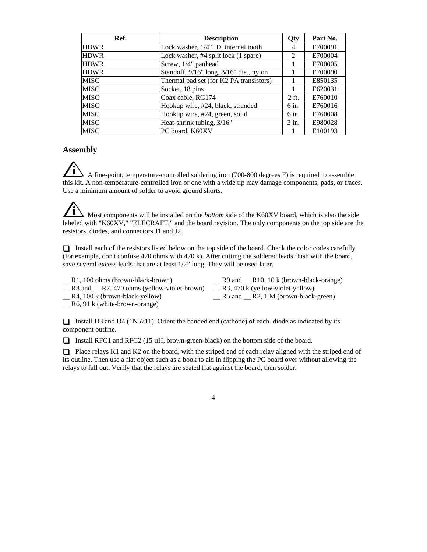| Ref.        | <b>Description</b>                      | Qty     | Part No. |
|-------------|-----------------------------------------|---------|----------|
| <b>HDWR</b> | Lock washer, 1/4" ID, internal tooth    | 4       | E700091  |
| <b>HDWR</b> | Lock washer, #4 split lock (1 spare)    | 2       | E700004  |
| <b>HDWR</b> | Screw, 1/4" panhead                     |         | E700005  |
| <b>HDWR</b> | Standoff, 9/16" long, 3/16" dia., nylon |         | E700090  |
| <b>MISC</b> | Thermal pad set (for K2 PA transistors) |         | E850135  |
| <b>MISC</b> | Socket, 18 pins                         |         | E620031  |
| <b>MISC</b> | Coax cable, RG174                       | 2 ft.   | E760010  |
| <b>MISC</b> | Hookup wire, #24, black, stranded       | 6 in.   | E760016  |
| <b>MISC</b> | Hookup wire, #24, green, solid          | 6 in.   | E760008  |
| <b>MISC</b> | Heat-shrink tubing, 3/16"               | $3$ in. | E980028  |
| <b>MISC</b> | PC board, K60XV                         |         | E100193  |

### **Assembly**

**i** A fine-point, temperature-controlled soldering iron (700-800 degrees F) is required to assemble this kit. A non-temperature-controlled iron or one with a wide tip may damage components, pads, or traces. Use a minimum amount of solder to avoid ground shorts.

**i** Most components will be installed on the *bottom* side of the K60XV board, which is also the side labeled with "K60XV," "ELECRAFT," and the board revision. The only components on the top side are the resistors, diodes, and connectors J1 and J2.

 $\Box$  Install each of the resistors listed below on the top side of the board. Check the color codes carefully (for example, don't confuse 470 ohms with 470 k). After cutting the soldered leads flush with the board, save several excess leads that are at least 1/2" long. They will be used later.

| R1, 100 ohms (brown-black-brown)          | $R9$ and $R10$ , 10 k (brown-black-orange) |
|-------------------------------------------|--------------------------------------------|
| R8 and R7, 470 ohms (yellow-violet-brown) | $R_3$ , 470 k (yellow-violet-yellow)       |
| $R_4$ , 100 k (brown-black-yellow)        | $R5$ and $R2$ , 1 M (brown-black-green)    |

\_\_ R6, 91 k (white-brown-orange)

Install D3 and D4 (1N5711). Orient the banded end (cathode) of each diode as indicated by its component outline.

Install RFC1 and RFC2 (15  $\mu$ H, brown-green-black) on the bottom side of the board.

 $\Box$  Place relays K1 and K2 on the board, with the striped end of each relay aligned with the striped end of its outline. Then use a flat object such as a book to aid in flipping the PC board over without allowing the relays to fall out. Verify that the relays are seated flat against the board, then solder.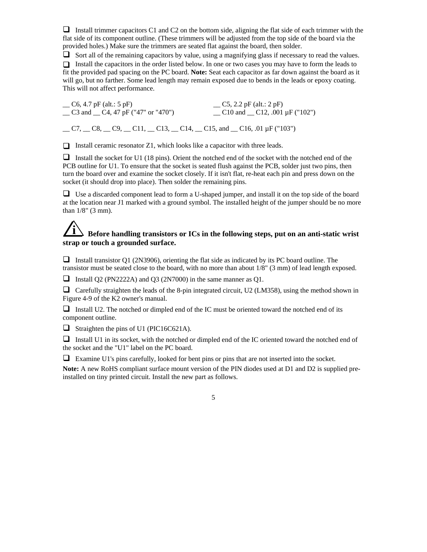Install trimmer capacitors C1 and C2 on the bottom side, aligning the flat side of each trimmer with the flat side of its component outline. (These trimmers will be adjusted from the top side of the board via the provided holes.) Make sure the trimmers are seated flat against the board, then solder.

 $\Box$  Sort all of the remaining capacitors by value, using a magnifying glass if necessary to read the values.  $\Box$  Install the capacitors in the order listed below. In one or two cases you may have to form the leads to fit the provided pad spacing on the PC board. **Note:** Seat each capacitor as far down against the board as it will go, but no farther. Some lead length may remain exposed due to bends in the leads or epoxy coating. This will not affect performance.

 $\begin{array}{r} \text{C5, 2.2 pF (alt.: 2 pF)} \\ \text{C3 and } \text{C4, 47 pF ("47" or "470")} \end{array}$   $\begin{array}{r} \text{C5, 2.2 pF (alt.: 2 pF)} \\ \text{C10 and } \text{C12, .001 µF ("102")} \end{array}$  $\_$  C3 and  $\_$  C4, 47 pF ("47" or "470")  $\_$  C7,  $\_$  C8,  $\_$  C9,  $\_$  C11,  $\_$  C13,  $\_$  C14,  $\_$  C15, and  $\_$  C16, .01 µF ("103")

 $\Box$  Install ceramic resonator Z1, which looks like a capacitor with three leads.

Install the socket for U1 (18 pins). Orient the notched end of the socket with the notched end of the PCB outline for U1. To ensure that the socket is seated flush against the PCB, solder just two pins, then turn the board over and examine the socket closely. If it isn't flat, re-heat each pin and press down on the socket (it should drop into place). Then solder the remaining pins.

 $\Box$  Use a discarded component lead to form a U-shaped jumper, and install it on the top side of the board at the location near J1 marked with a ground symbol. The installed height of the jumper should be no more than 1/8" (3 mm).

# **i Before handling transistors or ICs in the following steps, put on an anti-static wrist strap or touch a grounded surface.**

Install transistor Q1 (2N3906), orienting the flat side as indicated by its PC board outline. The transistor must be seated close to the board, with no more than about 1/8" (3 mm) of lead length exposed.

**I** Install Q2 (PN2222A) and Q3 (2N7000) in the same manner as Q1.

 $\Box$  Carefully straighten the leads of the 8-pin integrated circuit, U2 (LM358), using the method shown in Figure 4-9 of the K2 owner's manual.

 $\Box$  Install U2. The notched or dimpled end of the IC must be oriented toward the notched end of its component outline.

 $\Box$  Straighten the pins of U1 (PIC16C621A).

Install U1 in its socket, with the notched or dimpled end of the IC oriented toward the notched end of the socket and the "U1" label on the PC board.

Examine U1's pins carefully, looked for bent pins or pins that are not inserted into the socket.

**Note:** A new RoHS compliant surface mount version of the PIN diodes used at D1 and D2 is supplied preinstalled on tiny printed circuit. Install the new part as follows.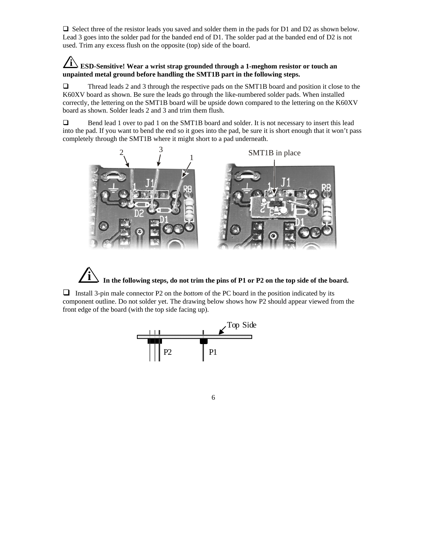$\Box$  Select three of the resistor leads you saved and solder them in the pads for D1 and D2 as shown below. Lead 3 goes into the solder pad for the banded end of D1. The solder pad at the banded end of D2 is not used. Trim any excess flush on the opposite (top) side of the board.

### **i ESD-Sensitive! Wear a wrist strap grounded through a 1-meghom resistor or touch an unpainted metal ground before handling the SMT1B part in the following steps.**

Thread leads 2 and 3 through the respective pads on the SMT1B board and position it close to the K60XV board as shown. Be sure the leads go through the like-numbered solder pads. When installed correctly, the lettering on the SMT1B board will be upside down compared to the lettering on the K60XV board as shown. Solder leads 2 and 3 and trim them flush.

□ Bend lead 1 over to pad 1 on the SMT1B board and solder. It is not necessary to insert this lead into the pad. If you want to bend the end so it goes into the pad, be sure it is short enough that it won't pass completely through the SMT1B where it might short to a pad underneath.



In the following steps, do not trim the pins of P1 or P2 on the top side of the board.

Install 3-pin male connector P2 on the *bottom* of the PC board in the position indicated by its component outline. Do not solder yet. The drawing below shows how P2 should appear viewed from the front edge of the board (with the top side facing up).



 $\overline{6}$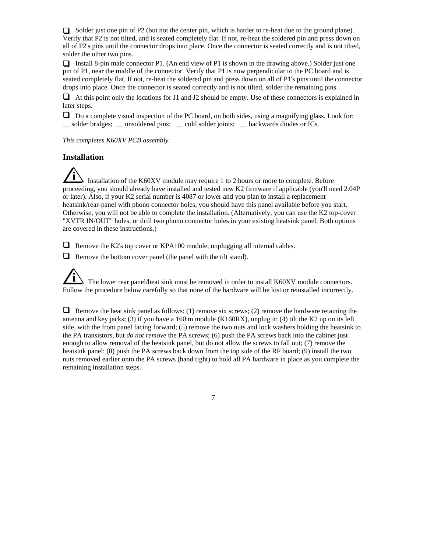Solder just one pin of P2 (but not the center pin, which is harder to re-heat due to the ground plane). Verify that P2 is not tilted, and is seated completely flat. If not, re-heat the soldered pin and press down on all of P2's pins until the connector drops into place. Once the connector is seated correctly and is not tilted, solder the other two pins.

Install 8-pin male connector P1. (An end view of P1 is shown in the drawing above.) Solder just one pin of P1, near the middle of the connector. Verify that P1 is now perpendicular to the PC board and is seated completely flat. If not, re-heat the soldered pin and press down on all of P1's pins until the connector drops into place. Once the connector is seated correctly and is not tilted, solder the remaining pins.

 $\Box$  At this point only the locations for J1 and J2 should be empty. Use of these connectors is explained in later steps.

 $\Box$  Do a complete visual inspection of the PC board, on both sides, using a magnifying glass. Look for: \_\_ solder bridges; \_\_ unsoldered pins; \_\_ cold solder joints; \_\_ backwards diodes or ICs.

*This completes K60XV PCB assembly.*

### **Installation**

**i** Installation of the K60XV module may require 1 to 2 hours or more to complete. Before proceeding, you should already have installed and tested new K2 firmware if applicable (you'll need 2.04P or later). Also, if your K2 serial number is 4087 or lower and you plan to install a replacement heatsink/rear-panel with phono connector holes, you should have this panel available before you start. Otherwise, you will not be able to complete the installation. (Alternatively, you can use the K2 top-cover "XVTR IN/OUT" holes, or drill two phono connector holes in your existing heatsink panel. Both options are covered in these instructions.)

 $\Box$  Remove the K2's top cover or KPA100 module, unplugging all internal cables.

 $\Box$  Remove the bottom cover panel (the panel with the tilt stand).

The lower rear panel/heat sink must be removed in order to install K60XV module connectors. Follow the procedure below carefully so that none of the hardware will be lost or reinstalled incorrectly.

**Remove the heat sink panel as follows:** (1) remove six screws; (2) remove the hardware retaining the antenna and key jacks; (3) if you have a 160 m module (K160RX), unplug it; (4) tilt the K2 up on its left side, with the front panel facing forward; (5) remove the two nuts and lock washers holding the heatsink to the PA transistors, but *do not remove* the PA screws; (6) push the PA screws back into the cabinet just enough to allow removal of the heatsink panel, but do not allow the screws to fall out; (7) remove the heatsink panel; (8) push the PA screws back down from the top side of the RF board; (9) install the two nuts removed earlier onto the PA screws (hand tight) to hold all PA hardware in place as you complete the remaining installation steps.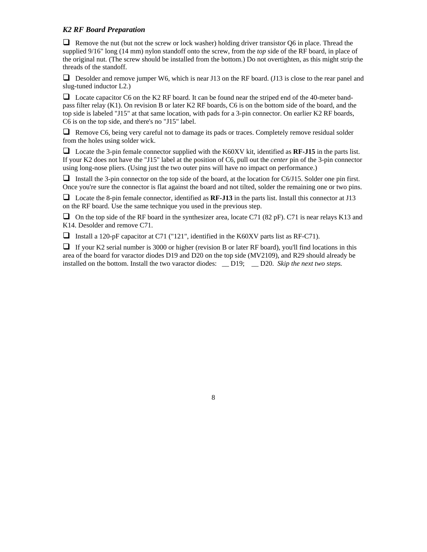### *K2 RF Board Preparation*

**Remove the nut (but not the screw or lock washer) holding driver transistor Q6 in place. Thread the** supplied 9/16" long (14 mm) nylon standoff onto the screw, from the *top* side of the RF board, in place of the original nut. (The screw should be installed from the bottom.) Do not overtighten, as this might strip the threads of the standoff.

**D** Desolder and remove jumper W6, which is near J13 on the RF board. (J13 is close to the rear panel and slug-tuned inductor L2.)

 $\Box$  Locate capacitor C6 on the K2 RF board. It can be found near the striped end of the 40-meter bandpass filter relay (K1). On revision B or later K2 RF boards, C6 is on the bottom side of the board, and the top side is labeled "J15" at that same location, with pads for a 3-pin connector. On earlier K2 RF boards, C6 is on the top side, and there's no "J15" label.

 $\Box$  Remove C6, being very careful not to damage its pads or traces. Completely remove residual solder from the holes using solder wick.

 Locate the 3-pin female connector supplied with the K60XV kit, identified as **RF-J15** in the parts list. If your K2 does not have the "J15" label at the position of C6, pull out the *center* pin of the 3-pin connector using long-nose pliers. (Using just the two outer pins will have no impact on performance.)

Install the 3-pin connector on the top side of the board, at the location for  $C6/J15$ . Solder one pin first. Once you're sure the connector is flat against the board and not tilted, solder the remaining one or two pins.

□ Locate the 8-pin female connector, identified as **RF-J13** in the parts list. Install this connector at J13 on the RF board. Use the same technique you used in the previous step.

 $\Box$  On the top side of the RF board in the synthesizer area, locate C71 (82 pF). C71 is near relays K13 and K14. Desolder and remove C71.

Install a 120-pF capacitor at C71 ("121", identified in the K60XV parts list as RF-C71).

 $\Box$  If your K2 serial number is 3000 or higher (revision B or later RF board), you'll find locations in this area of the board for varactor diodes D19 and D20 on the top side (MV2109), and R29 should already be installed on the bottom. Install the two varactor diodes: \_\_ D19; \_\_ D20. *Skip the next two steps.*

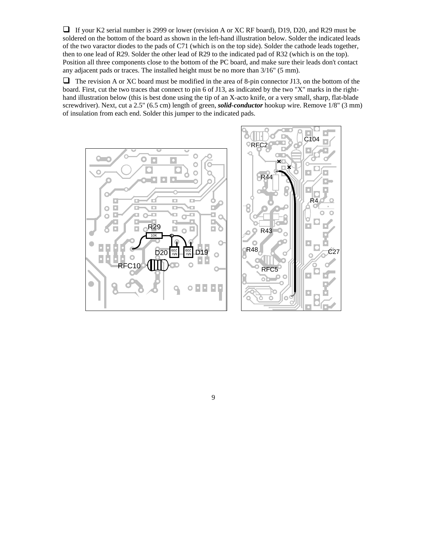$\Box$  If your K2 serial number is 2999 or lower (revision A or XC RF board), D19, D20, and R29 must be soldered on the bottom of the board as shown in the left-hand illustration below. Solder the indicated leads of the two varactor diodes to the pads of C71 (which is on the top side). Solder the cathode leads together, then to one lead of R29. Solder the other lead of R29 to the indicated pad of R32 (which is on the top). Position all three components close to the bottom of the PC board, and make sure their leads don't contact any adjacent pads or traces. The installed height must be no more than 3/16" (5 mm).

 $\Box$  The revision A or XC board must be modified in the area of 8-pin connector J13, on the bottom of the board. First, cut the two traces that connect to pin 6 of J13, as indicated by the two "X" marks in the righthand illustration below (this is best done using the tip of an X-acto knife, or a very small, sharp, flat-blade screwdriver). Next, cut a 2.5" (6.5 cm) length of green, *solid-conductor* hookup wire. Remove 1/8" (3 mm) of insulation from each end. Solder this jumper to the indicated pads.

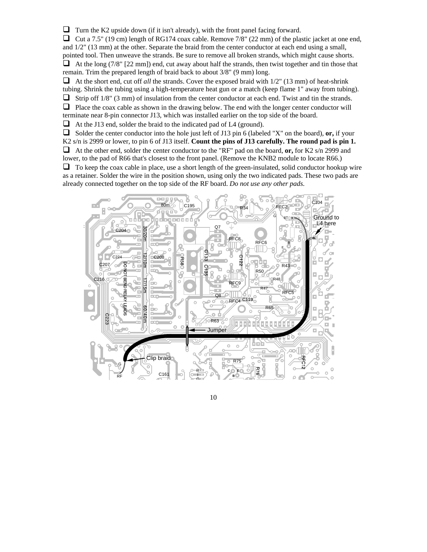$\Box$  Turn the K2 upside down (if it isn't already), with the front panel facing forward.

 $\Box$  Cut a 7.5" (19 cm) length of RG174 coax cable. Remove 7/8" (22 mm) of the plastic jacket at one end, and 1/2" (13 mm) at the other. Separate the braid from the center conductor at each end using a small, pointed tool. Then unweave the strands. Be sure to remove all broken strands, which might cause shorts.  $\Box$  At the long (7/8" [22 mm]) end, cut away about half the strands, then twist together and tin those that remain. Trim the prepared length of braid back to about 3/8" (9 mm) long.

 $\Box$  At the short end, cut off *all* the strands. Cover the exposed braid with  $1/2$ " (13 mm) of heat-shrink tubing. Shrink the tubing using a high-temperature heat gun or a match (keep flame 1" away from tubing).

 $\Box$  Strip off 1/8" (3 mm) of insulation from the center conductor at each end. Twist and tin the strands.

 $\Box$  Place the coax cable as shown in the drawing below. The end with the longer center conductor will

terminate near 8-pin connector J13, which was installed earlier on the top side of the board.

 $\Box$  At the J13 end, solder the braid to the indicated pad of L4 (ground).

 $\Box$  Solder the center conductor into the hole just left of J13 pin 6 (labeled "X" on the board), **or**, if your K2 s/n is 2999 or lower, to pin 6 of J13 itself. **Count the pins of J13 carefully. The round pad is pin 1.** At the other end, solder the center conductor to the "RF" pad on the board, **or,** for K2 s/n 2999 and lower, to the pad of R66 that's closest to the front panel. (Remove the KNB2 module to locate R66.)  $\Box$  To keep the coax cable in place, use a short length of the green-insulated, solid conductor hookup wire as a retainer. Solder the wire in the position shown, using only the two indicated pads. These two pads are already connected together on the top side of the RF board. *Do not use any other pads.*

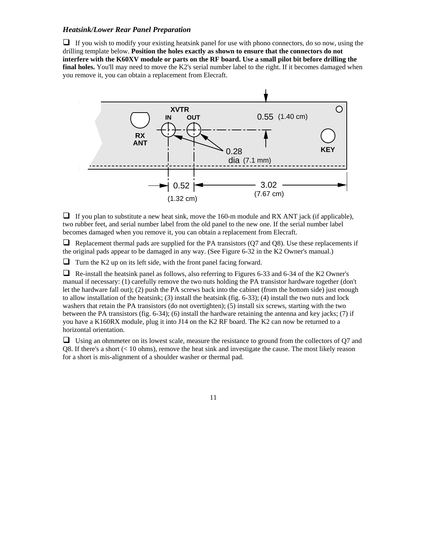#### *Heatsink/Lower Rear Panel Preparation*

 $\Box$  If you wish to modify your existing heatsink panel for use with phono connectors, do so now, using the drilling template below. **Position the holes exactly as shown to ensure that the connectors do not interfere with the K60XV module or parts on the RF board. Use a small pilot bit before drilling the final holes.** You'll may need to move the K2's serial number label to the right. If it becomes damaged when you remove it, you can obtain a replacement from Elecraft.



 $\Box$  If you plan to substitute a new heat sink, move the 160-m module and RX ANT jack (if applicable), two rubber feet, and serial number label from the old panel to the new one. If the serial number label becomes damaged when you remove it, you can obtain a replacement from Elecraft.

 $\Box$  Replacement thermal pads are supplied for the PA transistors (Q7 and Q8). Use these replacements if the original pads appear to be damaged in any way. (See Figure 6-32 in the K2 Owner's manual.)

 $\Box$  Turn the K2 up on its left side, with the front panel facing forward.

 Re-install the heatsink panel as follows, also referring to Figures 6-33 and 6-34 of the K2 Owner's manual if necessary: (1) carefully remove the two nuts holding the PA transistor hardware together (don't let the hardware fall out); (2) push the PA screws back into the cabinet (from the bottom side) just enough to allow installation of the heatsink; (3) install the heatsink (fig. 6-33); (4) install the two nuts and lock washers that retain the PA transistors (do not overtighten); (5) install six screws, starting with the two between the PA transistors (fig. 6-34); (6) install the hardware retaining the antenna and key jacks; (7) if you have a K160RX module, plug it into J14 on the K2 RF board. The K2 can now be returned to a horizontal orientation.

 $\Box$  Using an ohmmeter on its lowest scale, measure the resistance to ground from the collectors of Q7 and Q8. If there's a short (< 10 ohms), remove the heat sink and investigate the cause. The most likely reason for a short is mis-alignment of a shoulder washer or thermal pad.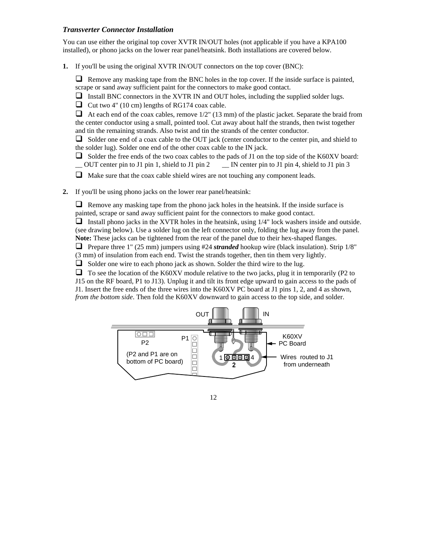### *Transverter Connector Installation*

You can use either the original top cover XVTR IN/OUT holes (not applicable if you have a KPA100 installed), or phono jacks on the lower rear panel/heatsink. Both installations are covered below.

**1.** If you'll be using the original XVTR IN/OUT connectors on the top cover (BNC):

 $\Box$  Remove any masking tape from the BNC holes in the top cover. If the inside surface is painted, scrape or sand away sufficient paint for the connectors to make good contact.

 $\Box$  Install BNC connectors in the XVTR IN and OUT holes, including the supplied solder lugs.

 $\Box$  Cut two 4" (10 cm) lengths of RG174 coax cable.

 $\Box$  At each end of the coax cables, remove 1/2" (13 mm) of the plastic jacket. Separate the braid from the center conductor using a small, pointed tool. Cut away about half the strands, then twist together and tin the remaining strands. Also twist and tin the strands of the center conductor.

 $\Box$  Solder one end of a coax cable to the OUT jack (center conductor to the center pin, and shield to the solder lug). Solder one end of the other coax cable to the IN jack.

- Solder the free ends of the two coax cables to the pads of J1 on the top side of the K60XV board:<br>  $\Box$  OUT center pin to J1 pin 1, shield to J1 pin 2  $\Box$  IN center pin to J1 pin 4, shield to J1 pin 3 \_\_ OUT center pin to J1 pin 1, shield to J1 pin 2\_\_ IN center pin to J1 pin 4, shield to J1 pin 3
- $\Box$  Make sure that the coax cable shield wires are not touching any component leads.
- **2.** If you'll be using phono jacks on the lower rear panel/heatsink:

 $\Box$  Remove any masking tape from the phono jack holes in the heatsink. If the inside surface is painted, scrape or sand away sufficient paint for the connectors to make good contact.

Install phono jacks in the XVTR holes in the heatsink, using  $1/4$ " lock washers inside and outside. (see drawing below). Use a solder lug on the left connector only, folding the lug away from the panel. **Note:** These jacks can be tightened from the rear of the panel due to their hex-shaped flanges.

**Prepare three 1"** (25 mm) jumpers using #24 *stranded* hookup wire (black insulation). Strip  $1/8$ " (3 mm) of insulation from each end. Twist the strands together, then tin them very lightly.

 $\Box$  Solder one wire to each phono jack as shown. Solder the third wire to the lug.

 $\Box$  To see the location of the K60XV module relative to the two jacks, plug it in temporarily (P2 to J15 on the RF board, P1 to J13). Unplug it and tilt its front edge upward to gain access to the pads of J1. Insert the free ends of the three wires into the K60XV PC board at J1 pins 1, 2, and 4 as shown, *from the bottom side*. Then fold the K60XV downward to gain access to the top side, and solder.

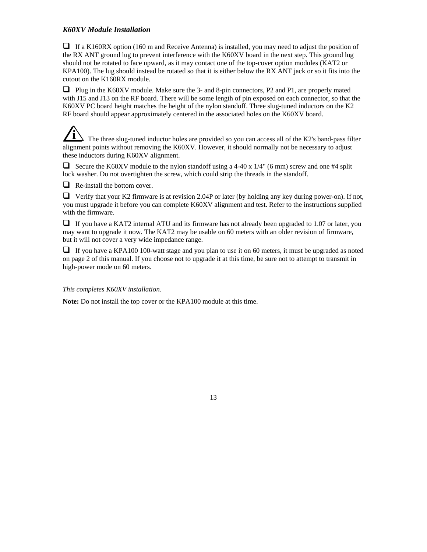### *K60XV Module Installation*

 $\Box$  If a K160RX option (160 m and Receive Antenna) is installed, you may need to adjust the position of the RX ANT ground lug to prevent interference with the K60XV board in the next step. This ground lug should not be rotated to face upward, as it may contact one of the top-cover option modules (KAT2 or KPA100). The lug should instead be rotated so that it is either below the RX ANT jack or so it fits into the cutout on the K160RX module.

□ Plug in the K60XV module. Make sure the 3- and 8-pin connectors, P2 and P1, are properly mated with J15 and J13 on the RF board. There will be some length of pin exposed on each connector, so that the K60XV PC board height matches the height of the nylon standoff. Three slug-tuned inductors on the K2 RF board should appear approximately centered in the associated holes on the K60XV board.

**i** The three slug-tuned inductor holes are provided so you can access all of the K2's band-pass filter alignment points without removing the K60XV. However, it should normally not be necessary to adjust these inductors during K60XV alignment.

Secure the K60XV module to the nylon standoff using a 4-40 x  $1/4$ " (6 mm) screw and one #4 split lock washer. Do not overtighten the screw, which could strip the threads in the standoff.

 $\Box$  Re-install the bottom cover.

 $\Box$  Verify that your K2 firmware is at revision 2.04P or later (by holding any key during power-on). If not, you must upgrade it before you can complete K60XV alignment and test. Refer to the instructions supplied with the firmware.

 $\Box$  If you have a KAT2 internal ATU and its firmware has not already been upgraded to 1.07 or later, you may want to upgrade it now. The KAT2 may be usable on 60 meters with an older revision of firmware, but it will not cover a very wide impedance range.

 $\Box$  If you have a KPA100 100-watt stage and you plan to use it on 60 meters, it must be upgraded as noted on page 2 of this manual. If you choose not to upgrade it at this time, be sure not to attempt to transmit in high-power mode on 60 meters.

*This completes K60XV installation.*

**Note:** Do not install the top cover or the KPA100 module at this time.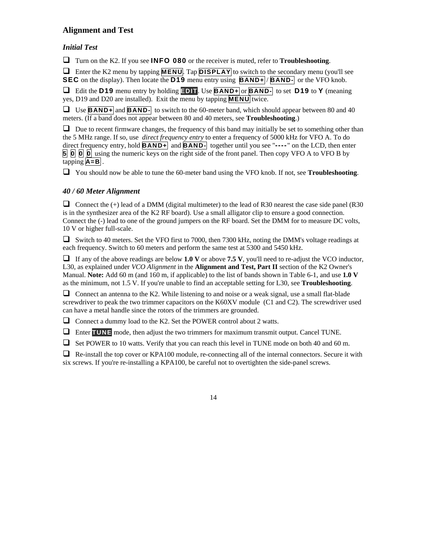### **Alignment and Test**

### *Initial Test*

Turn on the K2. If you see **INFO 080** or the receiver is muted, refer to **Troubleshooting**.

**E** Enter the K2 menu by tapping **MENU**. Tap **DISPLAY** to switch to the secondary menu (you'll see **SEC** on the display). Then locate the **D19** menu entry using **BAND+** / **BAND-** or the VFO knob.

 Edit the **D19** menu entry by holding **EDIT**. Use **BAND+** or **BAND-** to set **D19** to **Y** (meaning yes, D19 and D20 are installed). Exit the menu by tapping **MENU** twice.

 Use **BAND+** and **BAND-** to switch to the 60-meter band, which should appear between 80 and 40 meters. (If a band does not appear between 80 and 40 meters, see **Troubleshooting**.)

 $\Box$  Due to recent firmware changes, the frequency of this band may initially be set to something other than the 5 MHz range. If so, use *direct frequency entry* to enter a frequency of 5000 kHz for VFO A. To do direct frequency entry, hold **BAND+** and **BAND-** together until you see "**----** " on the LCD, then enter **5 0 0 0** using the numeric keys on the right side of the front panel. Then copy VFO A to VFO B by tapping  $|A = B|$ .

You should now be able to tune the 60-meter band using the VFO knob. If not, see **Troubleshooting**.

### *40 / 60 Meter Alignment*

Connect the  $(+)$  lead of a DMM (digital multimeter) to the lead of R30 nearest the case side panel (R30 is in the synthesizer area of the K2 RF board). Use a small alligator clip to ensure a good connection. Connect the (-) lead to one of the ground jumpers on the RF board. Set the DMM for to measure DC volts, 10 V or higher full-scale.

 $\Box$  Switch to 40 meters. Set the VFO first to 7000, then 7300 kHz, noting the DMM's voltage readings at each frequency. Switch to 60 meters and perform the same test at 5300 and 5450 kHz.

If any of the above readings are below **1.0** V or above **7.5** V, you'll need to re-adjust the VCO inductor, L30, as explained under *VCO Alignment* in the **Alignment and Test, Part II** section of the K2 Owner's Manual. **Note:** Add 60 m (and 160 m, if applicable) to the list of bands shown in Table 6-1, and use **1.0 V** as the minimum, not 1.5 V. If you're unable to find an acceptable setting for L30, see **Troubleshooting**.

 $\Box$  Connect an antenna to the K2. While listening to and noise or a weak signal, use a small flat-blade screwdriver to peak the two trimmer capacitors on the K60XV module (C1 and C2). The screwdriver used can have a metal handle since the rotors of the trimmers are grounded.

 $\Box$  Connect a dummy load to the K2. Set the POWER control about 2 watts.

Enter **TUNE** mode, then adjust the two trimmers for maximum transmit output. Cancel TUNE.

 $\Box$  Set POWER to 10 watts. Verify that you can reach this level in TUNE mode on both 40 and 60 m.

 $\Box$  Re-install the top cover or KPA100 module, re-connecting all of the internal connectors. Secure it with six screws. If you're re-installing a KPA100, be careful not to overtighten the side-panel screws.

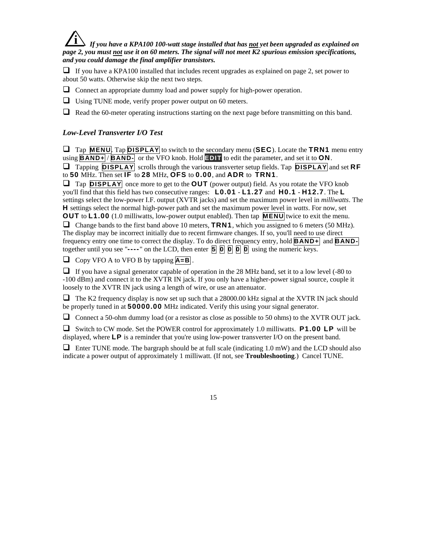## **i** *If you have a KPA100 100-watt stage installed that has not yet been upgraded as explained on page 2, you must not use it on 60 meters. The signal will not meet K2 spurious emission specifications, and you could damage the final amplifier transistors.*

If you have a KPA100 installed that includes recent upgrades as explained on page 2, set power to about 50 watts. Otherwise skip the next two steps.

- $\Box$  Connect an appropriate dummy load and power supply for high-power operation.
- $\Box$  Using TUNE mode, verify proper power output on 60 meters.
- $\Box$  Read the 60-meter operating instructions starting on the next page before transmitting on this band.

### *Low-Level Transverter I/O Test*

 Tap **MENU**. Tap **DISPLAY** to switch to the secondary menu (**SEC**). Locate the **TRN1** menu entry using **BAND+** / **BAND-** or the VFO knob. Hold **EDIT** to edit the parameter, and set it to **ON**. Tapping **DISPLAY** scrolls through the various transverter setup fields. Tap **DISPLAY** and set **RF** to **50** MHz. Then set **IF** to **28** MHz, **OFS** to **0.00**, and **ADR** to **TRN1**.

 Tap **DISPLAY** once more to get to the **OUT** (power output) field. As you rotate the VFO knob you'll find that this field has two consecutive ranges: **L0.01** - **L1.27** and **H0.1** - **H12.7**. The **L** settings select the low-power I.F. output (XVTR jacks) and set the maximum power level in *milliwatts*. The **H** settings select the normal high-power path and set the maximum power level in *watts*. For now, set **OUT** to **L1.00** (1.0 milliwatts, low-power output enabled). Then tap **MENU** twice to exit the menu. Change bands to the first band above 10 meters, **TRN1**, which you assigned to 6 meters (50 MHz). The display may be incorrect initially due to recent firmware changes. If so, you'll need to use direct frequency entry one time to correct the display. To do direct frequency entry, hold **BAND+** and **BAND**together until you see " $---$ " on the LCD, then enter  $\overline{5}$   $\overline{0}$   $\overline{0}$   $\overline{0}$   $\overline{0}$  using the numeric keys.

Copy VFO A to VFO B by tapping **A=B** .

 $\Box$  If you have a signal generator capable of operation in the 28 MHz band, set it to a low level (-80 to -100 dBm) and connect it to the XVTR IN jack. If you only have a higher-power signal source, couple it loosely to the XVTR IN jack using a length of wire, or use an attenuator.

 $\Box$  The K2 frequency display is now set up such that a 28000.00 kHz signal at the XVTR IN jack should be properly tuned in at **50000.00** MHz indicated. Verify this using your signal generator.

Connect a 50-ohm dummy load (or a resistor as close as possible to 50 ohms) to the XVTR OUT jack.

 Switch to CW mode. Set the POWER control for approximately 1.0 milliwatts. **P1.00 LP** will be displayed, where **LP** is a reminder that you're using low-power transverter I/O on the present band.

 $\Box$  Enter TUNE mode. The bargraph should be at full scale (indicating 1.0 mW) and the LCD should also indicate a power output of approximately 1 milliwatt. (If not, see **Troubleshooting**.) Cancel TUNE.

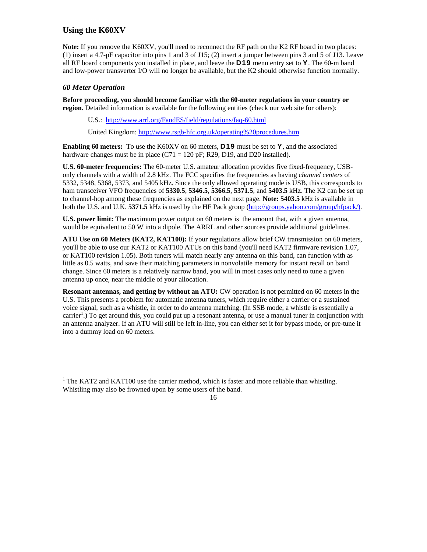### **Using the K60XV**

Note: If you remove the K60XV, you'll need to reconnect the RF path on the K2 RF board in two places: (1) insert a 4.7-pF capacitor into pins 1 and 3 of J15; (2) insert a jumper between pins 3 and 5 of J13. Leave all RF board components you installed in place, and leave the **D19** menu entry set to **Y**. The 60-m band and low-power transverter I/O will no longer be available, but the K2 should otherwise function normally.

### *60 Meter Operation*

l

**Before proceeding, you should become familiar with the 60-meter regulations in your country or region.** Detailed information is available for the following entities (check our web site for others):

U.S.: http://www.arrl.org/FandES/field/regulations/faq-60.html

United Kingdom: http://www.rsgb-hfc.org.uk/operating%20procedures.htm

**Enabling 60 meters:** To use the K60XV on 60 meters, **D19** must be set to **Y**, and the associated hardware changes must be in place  $(C71 = 120 \text{ pF}; R29, D19, \text{ and } D20 \text{ installed}).$ 

**U.S. 60-meter frequencies:** The 60-meter U.S. amateur allocation provides five fixed-frequency, USBonly channels with a width of 2.8 kHz. The FCC specifies the frequencies as having *channel centers* of 5332, 5348, 5368, 5373, and 5405 kHz. Since the only allowed operating mode is USB, this corresponds to ham transceiver VFO frequencies of **5330.5**, **5346.5**, **5366.5**, **5371.5**, and **5403.5** kHz. The K2 can be set up to channel-hop among these frequencies as explained on the next page. **Note: 5403.5** kHz is available in both the U.S. and U.K. **5371.5** kHz is used by the HF Pack group (http://groups.yahoo.com/group/hfpack/).

**U.S. power limit:** The maximum power output on 60 meters is the amount that, with a given antenna, would be equivalent to 50 W into a dipole. The ARRL and other sources provide additional guidelines.

**ATU Use on 60 Meters (KAT2, KAT100):** If your regulations allow brief CW transmission on 60 meters, you'll be able to use our KAT2 or KAT100 ATUs on this band (you'll need KAT2 firmware revision 1.07, or KAT100 revision 1.05). Both tuners will match nearly any antenna on this band, can function with as little as 0.5 watts, and save their matching parameters in nonvolatile memory for instant recall on band change. Since 60 meters is a relatively narrow band, you will in most cases only need to tune a given antenna up once, near the middle of your allocation.

**Resonant antennas, and getting by without an ATU:** CW operation is not permitted on 60 meters in the U.S. This presents a problem for automatic antenna tuners, which require either a carrier or a sustained voice signal, such as a whistle, in order to do antenna matching. (In SSB mode, a whistle is essentially a carrier<sup>1</sup>.) To get around this, you could put up a resonant antenna, or use a manual tuner in conjunction with an antenna analyzer. If an ATU will still be left in-line, you can either set it for bypass mode, or pre-tune it into a dummy load on 60 meters.

 $1$  The KAT2 and KAT100 use the carrier method, which is faster and more reliable than whistling. Whistling may also be frowned upon by some users of the band.

 <sup>16</sup>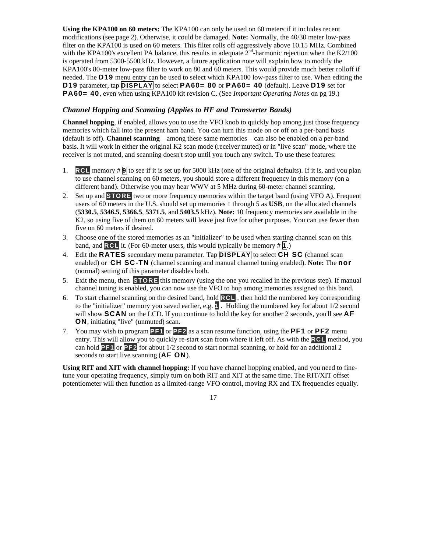**Using the KPA100 on 60 meters:** The KPA100 can only be used on 60 meters if it includes recent modifications (see page 2). Otherwise, it could be damaged*.* **Note:** Normally, the 40/30 meter low-pass filter on the KPA100 is used on 60 meters. This filter rolls off aggressively above 10.15 MHz. Combined with the KPA100's excellent PA balance, this results in adequate  $2<sup>nd</sup>$ -harmonic rejection when the K2/100 is operated from 5300-5500 kHz. However, a future application note will explain how to modify the KPA100's 80-meter low-pass filter to work on 80 and 60 meters. This would provide much better rolloff if needed. The **D19** menu entry can be used to select which KPA100 low-pass filter to use. When editing the **D19** parameter, tap **DISPLAY** to select **PA60= 80** or **PA60= 40** (default). Leave **D19** set for **PA60= 40**, even when using KPA100 kit revision C. (See *Important Operating Notes* on pg 19.)

#### *Channel Hopping and Scanning (Applies to HF and Transverter Bands)*

**Channel hopping**, if enabled, allows you to use the VFO knob to quickly hop among just those frequency memories which fall into the present ham band. You can turn this mode on or off on a per-band basis (default is off). **Channel scanning**—among these same memories—can also be enabled on a per-band basis. It will work in either the original K2 scan mode (receiver muted) or in "live scan" mode, where the receiver is not muted, and scanning doesn't stop until you touch any switch. To use these features:

- 1. **RCL** memory # **9** to see if it is set up for 5000 kHz (one of the original defaults). If it is, and you plan to use channel scanning on 60 meters, you should store a different frequency in this memory (on a different band). Otherwise you may hear WWV at 5 MHz during 60-meter channel scanning.
- 2. Set up and **STORE** two or more frequency memories within the target band (using VFO A). Frequent users of 60 meters in the U.S. should set up memories 1 through 5 as **USB**, on the allocated channels (**5330.5**, **5346.5**, **5366.5**, **5371.5**, and **5403.5** kHz). **Note:** 10 frequency memories are available in the K2, so using five of them on 60 meters will leave just five for other purposes. You can use fewer than five on 60 meters if desired.
- 3. Choose one of the stored memories as an "initializer" to be used when starting channel scan on this band, and **RCL** it. (For 60-meter users, this would typically be memory # **1**.)
- 4. Edit the **RATES** secondary menu parameter. Tap **DISPLAY** to select **CH SC** (channel scan enabled) or **CH SC-TN** (channel scanning and manual channel tuning enabled). **Note:** The **nor** (normal) setting of this parameter disables both.
- 5. Exit the menu, then **STORE** this memory (using the one you recalled in the previous step). If manual channel tuning is enabled, you can now use the VFO to hop among memories assigned to this band.
- 6. To start channel scanning on the desired band, hold **RCL** , then hold the numbered key corresponding to the "initializer" memory you saved earlier, e.g. **1** . Holding the numbered key for about 1/2 second will show **SCAN** on the LCD. If you continue to hold the key for another 2 seconds, you'll see **AF ON**, initiating "live" (unmuted) scan.
- 7. You may wish to program **PF1** or **PF2** as a scan resume function, using the **PF1** or **PF2** menu entry. This will allow you to quickly re-start scan from where it left off. As with the **RCL** method, you can hold **PF1** or **PF2** for about 1/2 second to start normal scanning, or hold for an additional 2 seconds to start live scanning (**AF ON**).

**Using RIT and XIT with channel hopping:** If you have channel hopping enabled, and you need to finetune your operating frequency, simply turn on both RIT and XIT at the same time. The RIT/XIT offset potentiometer will then function as a limited-range VFO control, moving RX and TX frequencies equally.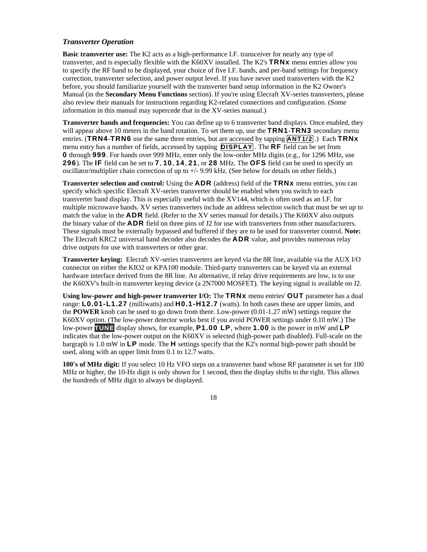#### *Transverter Operation*

**Basic transverter use:** The K2 acts as a high-performance I.F. transceiver for nearly any type of transverter, and is especially flexible with the K60XV installed. The K2's **TRNx** menu entries allow you to specify the RF band to be displayed, your choice of five I.F. bands, and per-band settings for frequency correction, transverter selection, and power output level. If you have never used transverters with the K2 before, you should familiarize yourself with the transverter band setup information in the K2 Owner's Manual (in the **Secondary Menu Functions** section). If you're using Elecraft XV-series transverters, please also review their manuals for instructions regarding K2-related connections and configuration. (Some information in this manual may supercede that in the XV-series manual.)

**Transverter bands and frequencies:** You can define up to 6 transverter band displays. Once enabled, they will appear above 10 meters in the band rotation. To set them up, use the **TRN1**-**TRN3** secondary menu entries. (**TRN4**-**TRN6** use the same three entries, but are accessed by tapping **ANT1/2** .) Each **TRNx** menu entry has a number of fields, accessed by tapping **DISPLAY** . The **RF** field can be set from **0** through **999**. For bands over 999 MHz, enter only the low-order MHz digits (e.g., for 1296 MHz, use **296**). The **IF** field can be set to **7**, **10**, **14**, **21**, or **28** MHz. The **OFS** field can be used to specify an oscillator/multiplier chain correction of up to +/- 9.99 kHz. (See below for details on other fields.)

**Transverter selection and control:** Using the **ADR** (address) field of the **TRNx** menu entries, you can specify which specific Elecraft XV-series transverter should be enabled when you switch to each transverter band display. This is especially useful with the XV144, which is often used as an I.F. for multiple microwave bands. XV series transverters include an address selection switch that must be set up to match the value in the **ADR** field. (Refer to the XV series manual for details.) The K60XV also outputs the binary value of the **ADR** field on three pins of J2 for use with transverters from other manufacturers. These signals must be externally bypassed and buffered if they are to be used for transverter control. **Note:** The Elecraft KRC2 universal band decoder also decodes the **ADR** value, and provides numerous relay drive outputs for use with transverters or other gear.

**Transverter keying:** Elecraft XV-series transverters are keyed via the 8R line, available via the AUX I/O connector on either the KIO2 or KPA100 module. Third-party transverters can be keyed via an external hardware interface derived from the 8R line. An alternative, if relay drive requirements are low, is to use the K60XV's built-in transverter keying device (a 2N7000 MOSFET). The keying signal is available on J2.

**Using low-power and high-power transverter I/O:** The **TRNx** menu entries' **OUT** parameter has a dual range: **L0.01-L1.27** (milliwatts) and **H0.1-H12.7** (watts). In both cases these are upper limits, and the **POWER** knob can be used to go down from there. Low-power (0.01-1.27 mW) settings require the K60XV option. (The low-power detector works best if you avoid POWER settings under 0.10 mW.) The low-power **TUNE** display shows, for example, **P1.00 LP**, where **1.00** is the power in mW and **LP** indicates that the low-power output on the K60XV is selected (high-power path disabled). Full-scale on the bargraph is 1.0 mW in **LP** mode. The **H** settings specify that the K2's normal high-power path should be used, along with an upper limit from 0.1 to 12.7 watts.

**100's of MHz digit:** If you select 10 Hz VFO steps on a transverter band whose RF parameter is set for 100 MHz or higher, the 10-Hz digit is only shown for 1 second, then the display shifts to the right. This allows the hundreds of MHz digit to always be displayed.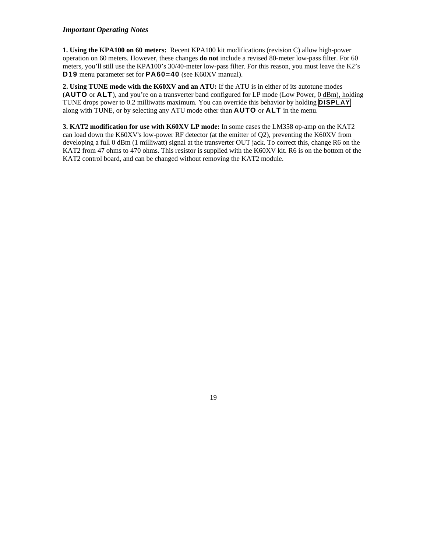#### *Important Operating Notes*

**1. Using the KPA100 on 60 meters:** Recent KPA100 kit modifications (revision C) allow high-power operation on 60 meters. However, these changes **do not** include a revised 80-meter low-pass filter. For 60 meters, you'll still use the KPA100's 30/40-meter low-pass filter. For this reason, you must leave the K2's **D19** menu parameter set for **PA60=40** (see K60XV manual).

**2. Using TUNE mode with the K60XV and an ATU:** If the ATU is in either of its autotune modes (**AUTO** or **ALT**), and you're on a transverter band configured for LP mode (Low Power, 0 dBm), holding TUNE drops power to 0.2 milliwatts maximum. You can override this behavior by holding **DISPLAY** along with TUNE, or by selecting any ATU mode other than **AUTO** or **ALT** in the menu.

**3. KAT2 modification for use with K60XV LP mode:** In some cases the LM358 op-amp on the KAT2 can load down the K60XV's low-power RF detector (at the emitter of Q2), preventing the K60XV from developing a full 0 dBm (1 milliwatt) signal at the transverter OUT jack. To correct this, change R6 on the KAT2 from 47 ohms to 470 ohms. This resistor is supplied with the K60XV kit. R6 is on the bottom of the KAT2 control board, and can be changed without removing the KAT2 module.

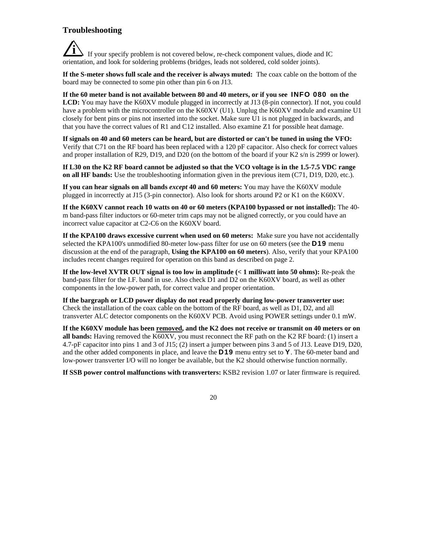### **Troubleshooting**

**i** If your specify problem is not covered below, re-check component values, diode and IC orientation, and look for soldering problems (bridges, leads not soldered, cold solder joints).

**If the S-meter shows full scale and the receiver is always muted:** The coax cable on the bottom of the board may be connected to some pin other than pin 6 on J13.

**If the 60 meter band is not available between 80 and 40 meters, or if you see INFO 080 on the LCD:** You may have the K60XV module plugged in incorrectly at J13 (8-pin connector). If not, you could have a problem with the microcontroller on the K60XV (U1). Unplug the K60XV module and examine U1 closely for bent pins or pins not inserted into the socket. Make sure U1 is not plugged in backwards, and that you have the correct values of R1 and C12 installed. Also examine Z1 for possible heat damage.

**If signals on 40 and 60 meters can be heard, but are distorted or can't be tuned in using the VFO:** Verify that C71 on the RF board has been replaced with a 120 pF capacitor. Also check for correct values and proper installation of R29, D19, and D20 (on the bottom of the board if your K2 s/n is 2999 or lower).

**If L30 on the K2 RF board cannot be adjusted so that the VCO voltage is in the 1.5-7.5 VDC range on all HF bands:** Use the troubleshooting information given in the previous item (C71, D19, D20, etc.).

**If you can hear signals on all bands** *except* **40 and 60 meters:** You may have the K60XV module plugged in incorrectly at J15 (3-pin connector). Also look for shorts around P2 or K1 on the K60XV.

**If the K60XV cannot reach 10 watts on 40 or 60 meters (KPA100 bypassed or not installed):** The 40 m band-pass filter inductors or 60-meter trim caps may not be aligned correctly, or you could have an incorrect value capacitor at C2-C6 on the K60XV board.

**If the KPA100 draws excessive current when used on 60 meters:** Make sure you have not accidentally selected the KPA100's unmodified 80-meter low-pass filter for use on 60 meters (see the **D19** menu discussion at the end of the paragraph, **Using the KPA100 on 60 meters**). Also, verify that your KPA100 includes recent changes required for operation on this band as described on page 2.

**If the low-level XVTR OUT signal is too low in amplitude (< 1 milliwatt into 50 ohms):** Re-peak the band-pass filter for the I.F. band in use. Also check D1 and D2 on the K60XV board, as well as other components in the low-power path, for correct value and proper orientation.

**If the bargraph or LCD power display do not read properly during low-power transverter use:** Check the installation of the coax cable on the bottom of the RF board, as well as D1, D2, and all transverter ALC detector components on the K60XV PCB. Avoid using POWER settings under 0.1 mW.

**If the K60XV module has been removed, and the K2 does not receive or transmit on 40 meters or on all bands:** Having removed the K60XV, you must reconnect the RF path on the K2 RF board: (1) insert a 4.7-pF capacitor into pins 1 and 3 of J15; (2) insert a jumper between pins 3 and 5 of J13. Leave D19, D20, and the other added components in place, and leave the **D19** menu entry set to **Y**. The 60-meter band and low-power transverter I/O will no longer be available, but the K2 should otherwise function normally.

**If SSB power control malfunctions with transverters:** KSB2 revision 1.07 or later firmware is required.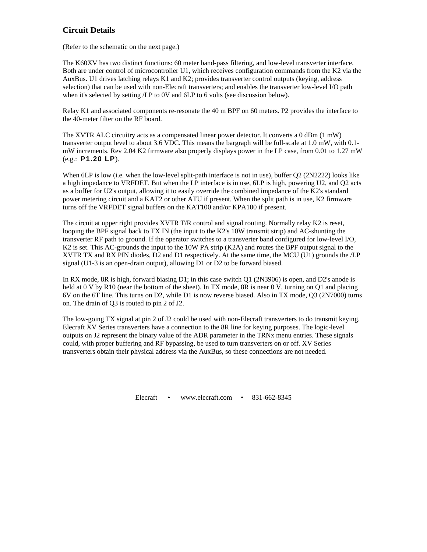### **Circuit Details**

(Refer to the schematic on the next page.)

The K60XV has two distinct functions: 60 meter band-pass filtering, and low-level transverter interface. Both are under control of microcontroller U1, which receives configuration commands from the K2 via the AuxBus. U1 drives latching relays K1 and K2; provides transverter control outputs (keying, address selection) that can be used with non-Elecraft transverters; and enables the transverter low-level I/O path when it's selected by setting /LP to 0V and 6LP to 6 volts (see discussion below).

Relay K1 and associated components re-resonate the 40 m BPF on 60 meters. P2 provides the interface to the 40-meter filter on the RF board.

The XVTR ALC circuitry acts as a compensated linear power detector. It converts a 0 dBm (1 mW) transverter output level to about 3.6 VDC. This means the bargraph will be full-scale at 1.0 mW, with 0.1 mW increments. Rev 2.04 K2 firmware also properly displays power in the LP case, from 0.01 to 1.27 mW (e.g.: **P1.20 LP**).

When 6LP is low (i.e. when the low-level split-path interface is not in use), buffer Q2 (2N2222) looks like a high impedance to VRFDET. But when the LP interface is in use, 6LP is high, powering U2, and Q2 acts as a buffer for U2's output, allowing it to easily override the combined impedance of the K2's standard power metering circuit and a KAT2 or other ATU if present. When the split path is in use, K2 firmware turns off the VRFDET signal buffers on the KAT100 and/or KPA100 if present.

The circuit at upper right provides XVTR T/R control and signal routing. Normally relay K2 is reset, looping the BPF signal back to TX IN (the input to the K2's 10W transmit strip) and AC-shunting the transverter RF path to ground. If the operator switches to a transverter band configured for low-level I/O, K2 is set. This AC-grounds the input to the 10W PA strip (K2A) and routes the BPF output signal to the XVTR TX and RX PIN diodes, D2 and D1 respectively. At the same time, the MCU (U1) grounds the /LP signal (U1-3 is an open-drain output), allowing D1 or D2 to be forward biased.

In RX mode, 8R is high, forward biasing D1; in this case switch Q1 (2N3906) is open, and D2's anode is held at 0 V by R10 (near the bottom of the sheet). In TX mode, 8R is near 0 V, turning on Q1 and placing 6V on the 6T line. This turns on D2, while D1 is now reverse biased. Also in TX mode, Q3 (2N7000) turns on. The drain of Q3 is routed to pin 2 of J2.

The low-going TX signal at pin 2 of J2 could be used with non-Elecraft transverters to do transmit keying. Elecraft XV Series transverters have a connection to the 8R line for keying purposes. The logic-level outputs on J2 represent the binary value of the ADR parameter in the TRNx menu entries. These signals could, with proper buffering and RF bypassing, be used to turn transverters on or off. XV Series transverters obtain their physical address via the AuxBus, so these connections are not needed.

Elecraft • www.elecraft.com • 831-662-8345